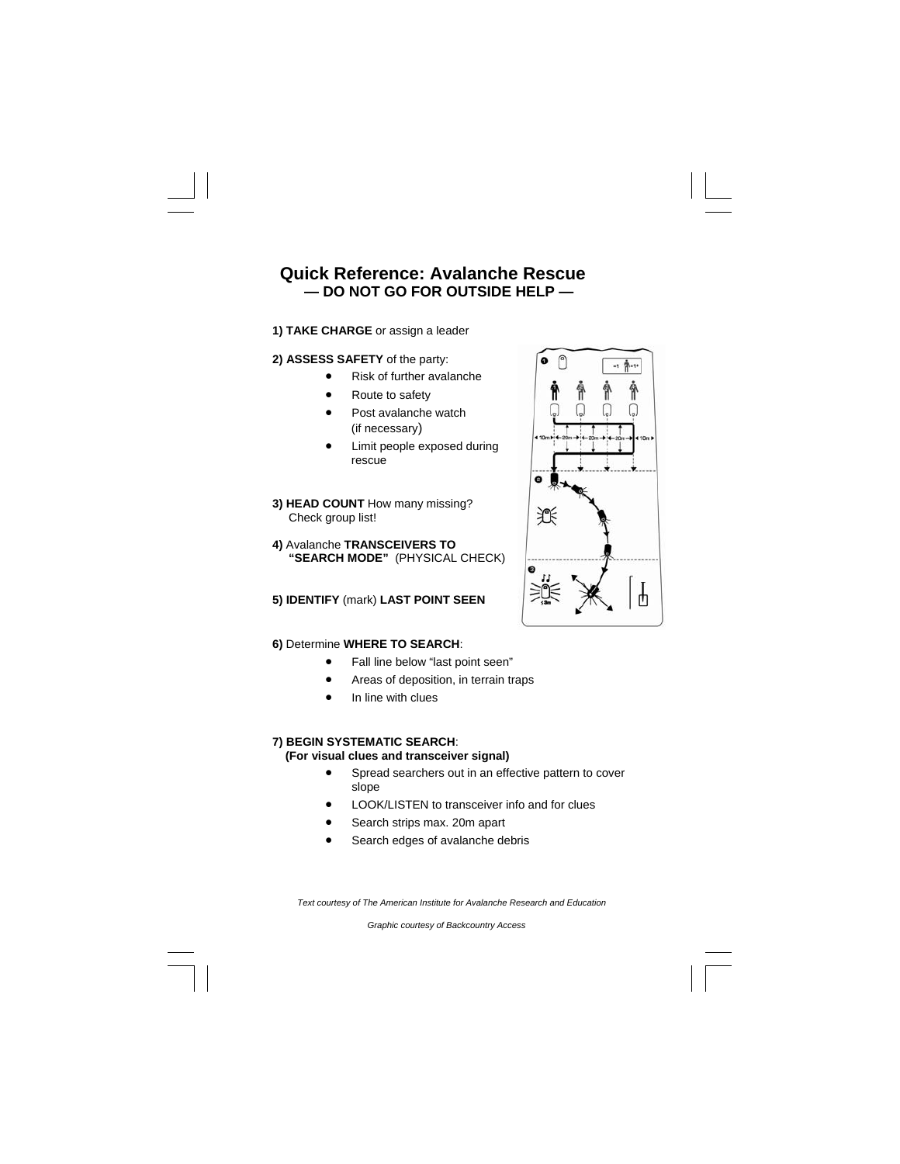# **Quick Reference: Avalanche Rescue — DO NOT GO FOR OUTSIDE HELP —**

# **1) TAKE CHARGE** or assign a leader

# **2) ASSESS SAFETY** of the party:

- Risk of further avalanche
- Route to safety
- Post avalanche watch (if necessary)
- Limit people exposed during rescue

**3) HEAD COUNT** How many missing? Check group list!

**4)** Avalanche **TRANSCEIVERS TO "SEARCH MODE"** (PHYSICAL CHECK)

# **5) IDENTIFY** (mark) **LAST POINT SEEN**

#### **6)** Determine **WHERE TO SEARCH**:

- Fall line below "last point seen"
- Areas of deposition, in terrain traps
- In line with clues

# **7) BEGIN SYSTEMATIC SEARCH**:

 **(For visual clues and transceiver signal)** 

- Spread searchers out in an effective pattern to cover slope
- LOOK/LISTEN to transceiver info and for clues
- Search strips max. 20m apart
- Search edges of avalanche debris

Text courtesy of The American Institute for Avalanche Research and Education

*Graphic courtesy of Backcountry Access*